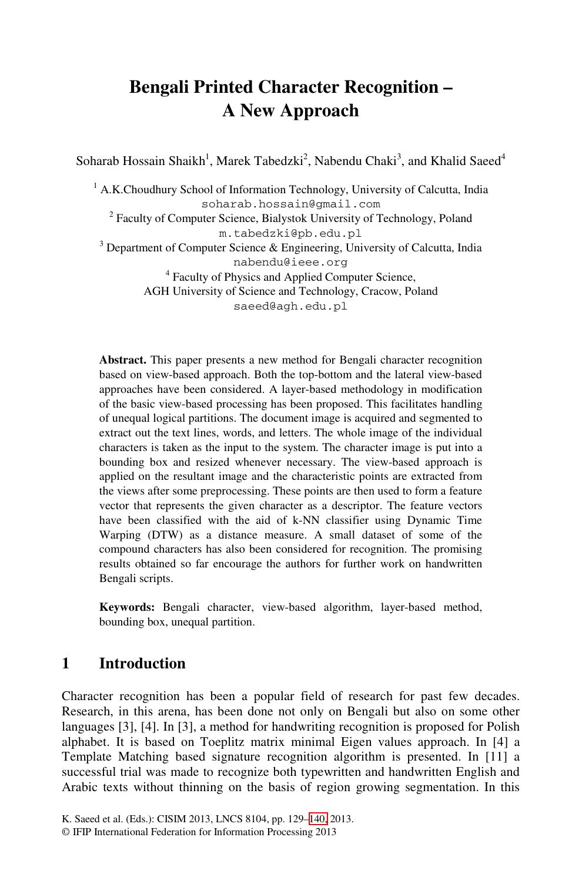# **Bengali Printed Character Recognition – A New Approach**

Soharab Hossain Shaikh<sup>1</sup>, Marek Tabedzki<sup>2</sup>, Nabendu Chaki<sup>3</sup>, and Khalid Saeed<sup>4</sup>

<sup>1</sup> A.K.Choudhury School of Information Technology, University of Calcutta, India soharab.hossain@gmail.com <sup>2</sup> Faculty of Computer Science, Bialystok University of Technology, Poland m.tabedzki@pb.edu.pl <sup>3</sup> Department of Computer Science & Engineering, University of Calcutta, India nabendu@ieee.org 4 Faculty of Physics and Applied Computer Science, AGH University of Science and Technology, Cracow, Poland

saeed@agh.edu.pl

**Abstract.** This paper presents a new method for Bengali character recognition based on view-based approach. Both the top-bottom and the lateral view-based approaches have been considered. A layer-based methodology in modification of the basic view-based processing has been proposed. This facilitates handling of unequal logical partitions. The document image is acquired and segmented to extract out the text lines, words, and letters. The whole image of the individual characters is taken as the input to the system. The character image is put into a bounding box and resized whenever necessary. The view-based approach is applied on the resultant image and the characteristic points are extracted from the views after some preprocessing. These points are then used to form a feature vector that represents the given character as a descriptor. The feature vectors have been classified with the aid of k-NN classifier using Dynamic Time Warping (DTW) as a distance measure. A small dataset of some of the compound characters has also been considered for recognition. The promising results obtained so far encourage the authors for further work on handwritten Bengali scripts.

**Keywords:** Bengali character, view-based algorithm, layer-based method, bounding box, unequal partition.

### **1 Introduction**

Character recognition has [bee](#page-11-0)n a popular field of research for past few decades. Research, in this arena, has been done not only on Bengali but also on some other languages [3], [4]. In [3], a method for handwriting recognition is proposed for Polish alphabet. It is based on Toeplitz matrix minimal Eigen values approach. In [4] a Template Matching based signature recognition algorithm is presented. In [11] a successful trial was made to recognize both typewritten and handwritten English and Arabic texts without thinning on the basis of region growing segmentation. In this

K. Saeed et al. (Eds.): CISIM 2013, LNCS 8104, pp. 129–140, 2013.

<sup>©</sup> IFIP International Federation for Information Processing 2013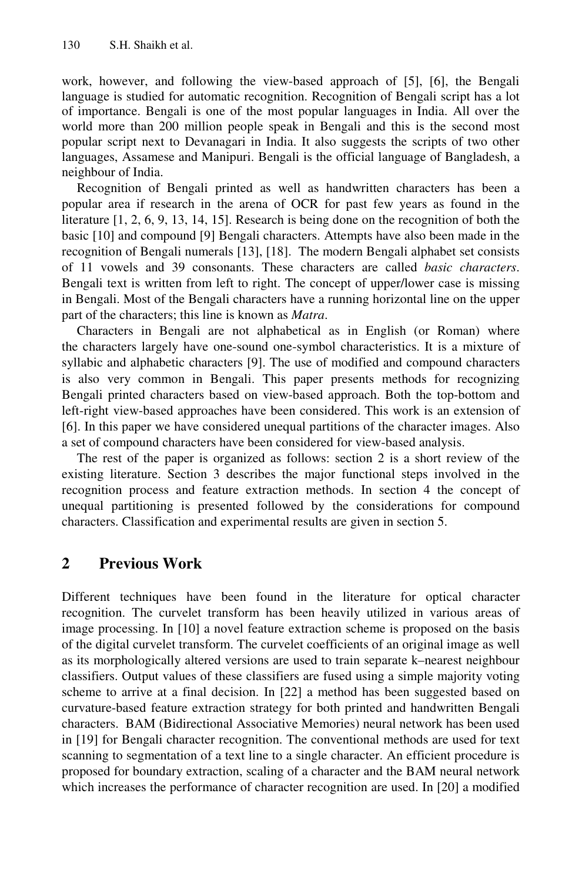work, however, and following the view-based approach of [5], [6], the Bengali language is studied for automatic recognition. Recognition of Bengali script has a lot of importance. Bengali is one of the most popular languages in India. All over the world more than 200 million people speak in Bengali and this is the second most popular script next to Devanagari in India. It also suggests the scripts of two other languages, Assamese and Manipuri. Bengali is the official language of Bangladesh, a neighbour of India.

Recognition of Bengali printed as well as handwritten characters has been a popular area if research in the arena of OCR for past few years as found in the literature [1, 2, 6, 9, 13, 14, 15]. Research is being done on the recognition of both the basic [10] and compound [9] Bengali characters. Attempts have also been made in the recognition of Bengali numerals [13], [18]. The modern Bengali alphabet set consists of 11 vowels and 39 consonants. These characters are called *basic characters*. Bengali text is written from left to right. The concept of upper/lower case is missing in Bengali. Most of the Bengali characters have a running horizontal line on the upper part of the characters; this line is known as *Matra*.

Characters in Bengali are not alphabetical as in English (or Roman) where the characters largely have one-sound one-symbol characteristics. It is a mixture of syllabic and alphabetic characters [9]. The use of modified and compound characters is also very common in Bengali. This paper presents methods for recognizing Bengali printed characters based on view-based approach. Both the top-bottom and left-right view-based approaches have been considered. This work is an extension of [6]. In this paper we have considered unequal partitions of the character images. Also a set of compound characters have been considered for view-based analysis.

The rest of the paper is organized as follows: section 2 is a short review of the existing literature. Section 3 describes the major functional steps involved in the recognition process and feature extraction methods. In section 4 the concept of unequal partitioning is presented followed by the considerations for compound characters. Classification and experimental results are given in section 5.

# **2 Previous Work**

Different techniques have been found in the literature for optical character recognition. The curvelet transform has been heavily utilized in various areas of image processing. In [10] a novel feature extraction scheme is proposed on the basis of the digital curvelet transform. The curvelet coefficients of an original image as well as its morphologically altered versions are used to train separate k–nearest neighbour classifiers. Output values of these classifiers are fused using a simple majority voting scheme to arrive at a final decision. In [22] a method has been suggested based on curvature-based feature extraction strategy for both printed and handwritten Bengali characters. BAM (Bidirectional Associative Memories) neural network has been used in [19] for Bengali character recognition. The conventional methods are used for text scanning to segmentation of a text line to a single character. An efficient procedure is proposed for boundary extraction, scaling of a character and the BAM neural network which increases the performance of character recognition are used. In [20] a modified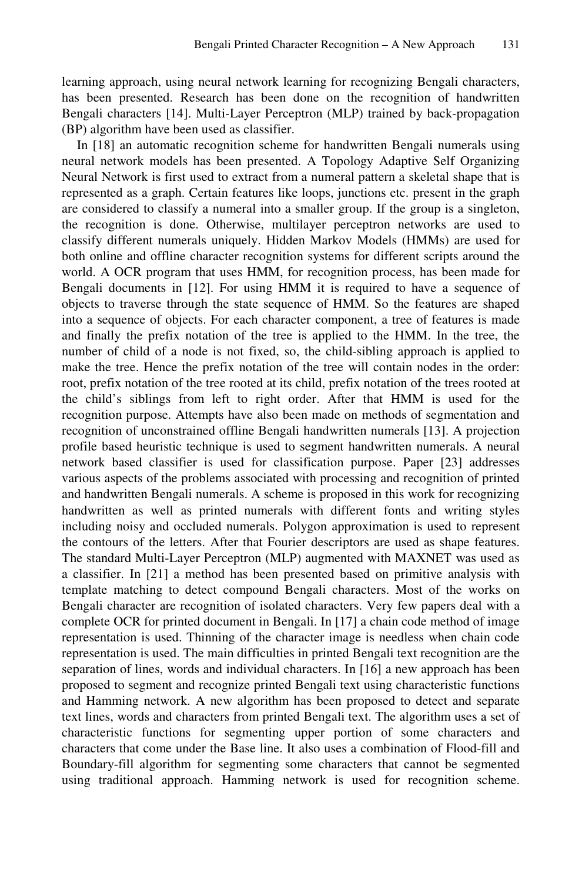learning approach, using neural network learning for recognizing Bengali characters, has been presented. Research has been done on the recognition of handwritten Bengali characters [14]. Multi-Layer Perceptron (MLP) trained by back-propagation (BP) algorithm have been used as classifier.

In [18] an automatic recognition scheme for handwritten Bengali numerals using neural network models has been presented. A Topology Adaptive Self Organizing Neural Network is first used to extract from a numeral pattern a skeletal shape that is represented as a graph. Certain features like loops, junctions etc. present in the graph are considered to classify a numeral into a smaller group. If the group is a singleton, the recognition is done. Otherwise, multilayer perceptron networks are used to classify different numerals uniquely. Hidden Markov Models (HMMs) are used for both online and offline character recognition systems for different scripts around the world. A OCR program that uses HMM, for recognition process, has been made for Bengali documents in [12]. For using HMM it is required to have a sequence of objects to traverse through the state sequence of HMM. So the features are shaped into a sequence of objects. For each character component, a tree of features is made and finally the prefix notation of the tree is applied to the HMM. In the tree, the number of child of a node is not fixed, so, the child-sibling approach is applied to make the tree. Hence the prefix notation of the tree will contain nodes in the order: root, prefix notation of the tree rooted at its child, prefix notation of the trees rooted at the child's siblings from left to right order. After that HMM is used for the recognition purpose. Attempts have also been made on methods of segmentation and recognition of unconstrained offline Bengali handwritten numerals [13]. A projection profile based heuristic technique is used to segment handwritten numerals. A neural network based classifier is used for classification purpose. Paper [23] addresses various aspects of the problems associated with processing and recognition of printed and handwritten Bengali numerals. A scheme is proposed in this work for recognizing handwritten as well as printed numerals with different fonts and writing styles including noisy and occluded numerals. Polygon approximation is used to represent the contours of the letters. After that Fourier descriptors are used as shape features. The standard Multi-Layer Perceptron (MLP) augmented with MAXNET was used as a classifier. In [21] a method has been presented based on primitive analysis with template matching to detect compound Bengali characters. Most of the works on Bengali character are recognition of isolated characters. Very few papers deal with a complete OCR for printed document in Bengali. In [17] a chain code method of image representation is used. Thinning of the character image is needless when chain code representation is used. The main difficulties in printed Bengali text recognition are the separation of lines, words and individual characters. In [16] a new approach has been proposed to segment and recognize printed Bengali text using characteristic functions and Hamming network. A new algorithm has been proposed to detect and separate text lines, words and characters from printed Bengali text. The algorithm uses a set of characteristic functions for segmenting upper portion of some characters and characters that come under the Base line. It also uses a combination of Flood-fill and Boundary-fill algorithm for segmenting some characters that cannot be segmented using traditional approach. Hamming network is used for recognition scheme.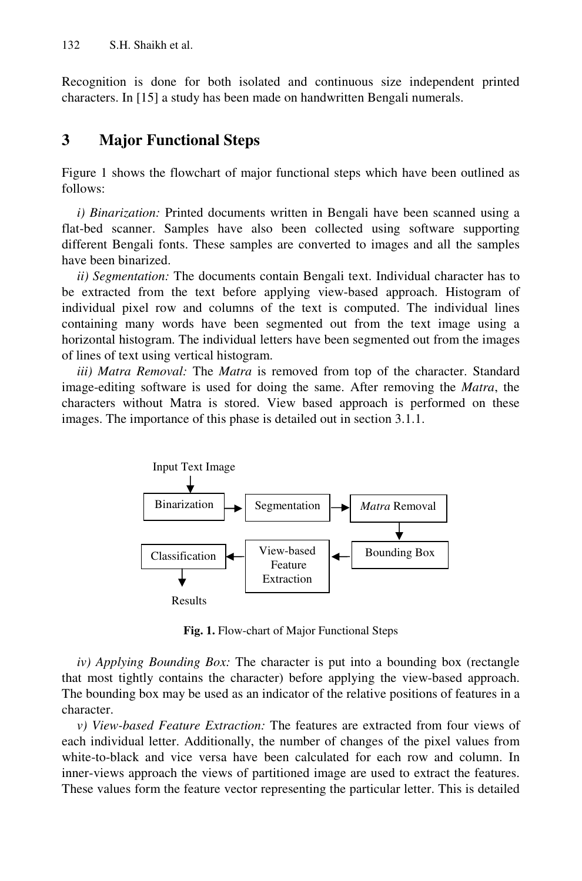Recognition is done for both isolated and continuous size independent printed characters. In [15] a study has been made on handwritten Bengali numerals.

# **3 Major Functional Steps**

Figure 1 shows the flowchart of major functional steps which have been outlined as follows:

*i) Binarization:* Printed documents written in Bengali have been scanned using a flat-bed scanner. Samples have also been collected using software supporting different Bengali fonts. These samples are converted to images and all the samples have been binarized.

*ii) Segmentation:* The documents contain Bengali text. Individual character has to be extracted from the text before applying view-based approach. Histogram of individual pixel row and columns of the text is computed. The individual lines containing many words have been segmented out from the text image using a horizontal histogram. The individual letters have been segmented out from the images of lines of text using vertical histogram.

*iii) Matra Removal:* The *Matra* is removed from top of the character. Standard image-editing software is used for doing the same. After removing the *Matra*, the characters without Matra is stored. View based approach is performed on these images. The importance of this phase is detailed out in section 3.1.1.



**Fig. 1.** Flow-chart of Major Functional Steps

*iv) Applying Bounding Box:* The character is put into a bounding box (rectangle that most tightly contains the character) before applying the view-based approach. The bounding box may be used as an indicator of the relative positions of features in a character.

*v) View-based Feature Extraction:* The features are extracted from four views of each individual letter. Additionally, the number of changes of the pixel values from white-to-black and vice versa have been calculated for each row and column. In inner-views approach the views of partitioned image are used to extract the features. These values form the feature vector representing the particular letter. This is detailed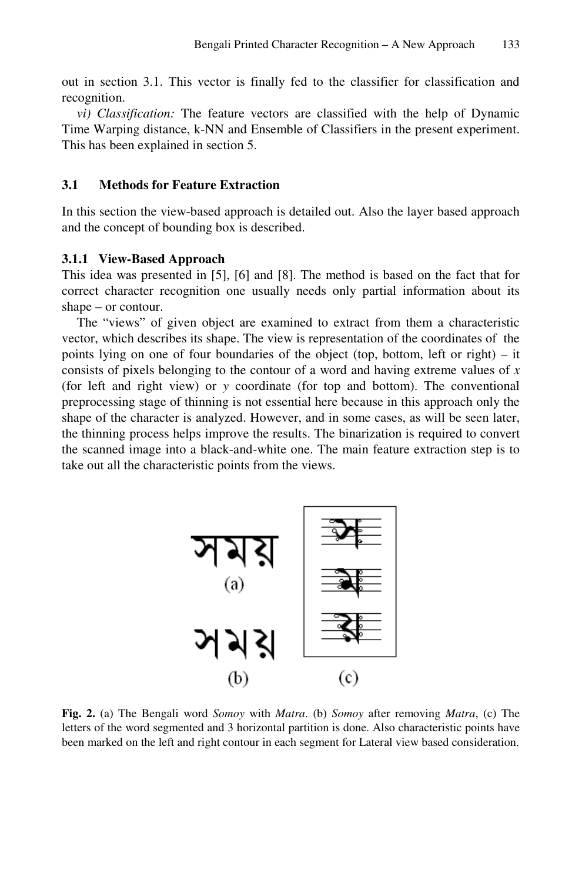out in section 3.1. This vector is finally fed to the classifier for classification and recognition.

*vi) Classification:* The feature vectors are classified with the help of Dynamic Time Warping distance, k-NN and Ensemble of Classifiers in the present experiment. This has been explained in section 5.

#### **3.1 Methods for Feature Extraction**

In this section the view-based approach is detailed out. Also the layer based approach and the concept of bounding box is described.

#### **3.1.1 View-Based Approach**

This idea was presented in [5], [6] and [8]. The method is based on the fact that for correct character recognition one usually needs only partial information about its shape – or contour.

The "views" of given object are examined to extract from them a characteristic vector, which describes its shape. The view is representation of the coordinates of the points lying on one of four boundaries of the object (top, bottom, left or right) – it consists of pixels belonging to the contour of a word and having extreme values of *x* (for left and right view) or *y* coordinate (for top and bottom). The conventional preprocessing stage of thinning is not essential here because in this approach only the shape of the character is analyzed. However, and in some cases, as will be seen later, the thinning process helps improve the results. The binarization is required to convert the scanned image into a black-and-white one. The main feature extraction step is to take out all the characteristic points from the views.



**Fig. 2.** (a) The Bengali word *Somoy* with *Matra*. (b) *Somoy* after removing *Matra*, (c) The letters of the word segmented and 3 horizontal partition is done. Also characteristic points have been marked on the left and right contour in each segment for Lateral view based consideration.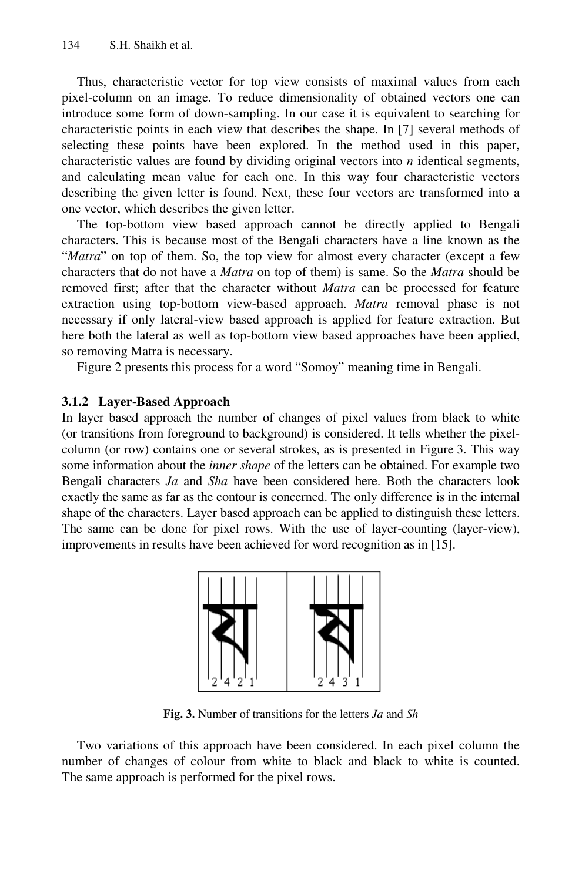Thus, characteristic vector for top view consists of maximal values from each pixel-column on an image. To reduce dimensionality of obtained vectors one can introduce some form of down-sampling. In our case it is equivalent to searching for characteristic points in each view that describes the shape. In [7] several methods of selecting these points have been explored. In the method used in this paper, characteristic values are found by dividing original vectors into *n* identical segments, and calculating mean value for each one. In this way four characteristic vectors describing the given letter is found. Next, these four vectors are transformed into a one vector, which describes the given letter.

The top-bottom view based approach cannot be directly applied to Bengali characters. This is because most of the Bengali characters have a line known as the "*Matra*" on top of them. So, the top view for almost every character (except a few characters that do not have a *Matra* on top of them) is same. So the *Matra* should be removed first; after that the character without *Matra* can be processed for feature extraction using top-bottom view-based approach. *Matra* removal phase is not necessary if only lateral-view based approach is applied for feature extraction. But here both the lateral as well as top-bottom view based approaches have been applied, so removing Matra is necessary.

Figure 2 presents this process for a word "Somoy" meaning time in Bengali.

### **3.1.2 Layer-Based Approach**

In layer based approach the number of changes of pixel values from black to white (or transitions from foreground to background) is considered. It tells whether the pixelcolumn (or row) contains one or several strokes, as is presented in Figure 3. This way some information about the *inner shape* of the letters can be obtained. For example two Bengali characters *Ja* and *Sha* have been considered here. Both the characters look exactly the same as far as the contour is concerned. The only difference is in the internal shape of the characters. Layer based approach can be applied to distinguish these letters. The same can be done for pixel rows. With the use of layer-counting (layer-view), improvements in results have been achieved for word recognition as in [15].



**Fig. 3.** Number of transitions for the letters *Ja* and *Sh*

Two variations of this approach have been considered. In each pixel column the number of changes of colour from white to black and black to white is counted. The same approach is performed for the pixel rows.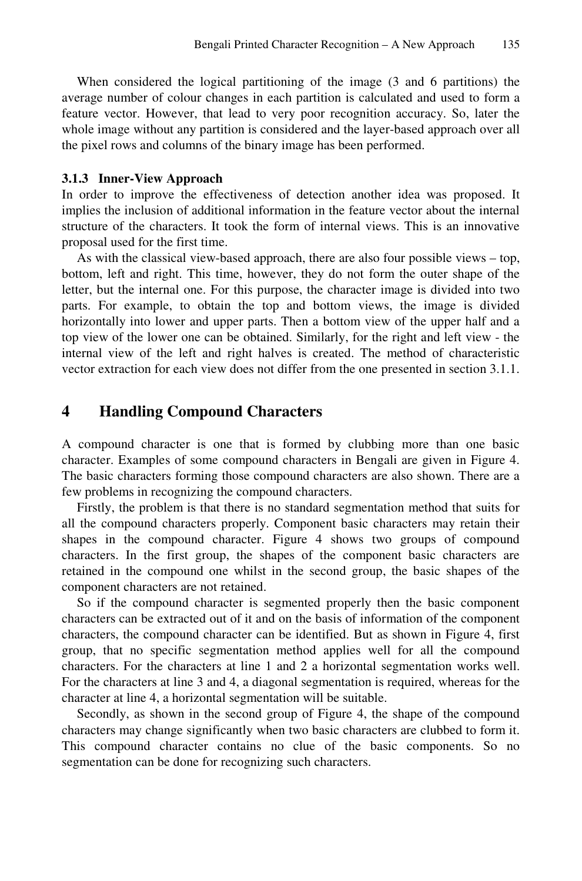When considered the logical partitioning of the image (3 and 6 partitions) the average number of colour changes in each partition is calculated and used to form a feature vector. However, that lead to very poor recognition accuracy. So, later the whole image without any partition is considered and the layer-based approach over all the pixel rows and columns of the binary image has been performed.

#### **3.1.3 Inner-View Approach**

In order to improve the effectiveness of detection another idea was proposed. It implies the inclusion of additional information in the feature vector about the internal structure of the characters. It took the form of internal views. This is an innovative proposal used for the first time.

As with the classical view-based approach, there are also four possible views – top, bottom, left and right. This time, however, they do not form the outer shape of the letter, but the internal one. For this purpose, the character image is divided into two parts. For example, to obtain the top and bottom views, the image is divided horizontally into lower and upper parts. Then a bottom view of the upper half and a top view of the lower one can be obtained. Similarly, for the right and left view - the internal view of the left and right halves is created. The method of characteristic vector extraction for each view does not differ from the one presented in section 3.1.1.

### **4 Handling Compound Characters**

A compound character is one that is formed by clubbing more than one basic character. Examples of some compound characters in Bengali are given in Figure 4. The basic characters forming those compound characters are also shown. There are a few problems in recognizing the compound characters.

Firstly, the problem is that there is no standard segmentation method that suits for all the compound characters properly. Component basic characters may retain their shapes in the compound character. Figure 4 shows two groups of compound characters. In the first group, the shapes of the component basic characters are retained in the compound one whilst in the second group, the basic shapes of the component characters are not retained.

So if the compound character is segmented properly then the basic component characters can be extracted out of it and on the basis of information of the component characters, the compound character can be identified. But as shown in Figure 4, first group, that no specific segmentation method applies well for all the compound characters. For the characters at line 1 and 2 a horizontal segmentation works well. For the characters at line 3 and 4, a diagonal segmentation is required, whereas for the character at line 4, a horizontal segmentation will be suitable.

Secondly, as shown in the second group of Figure 4, the shape of the compound characters may change significantly when two basic characters are clubbed to form it. This compound character contains no clue of the basic components. So no segmentation can be done for recognizing such characters.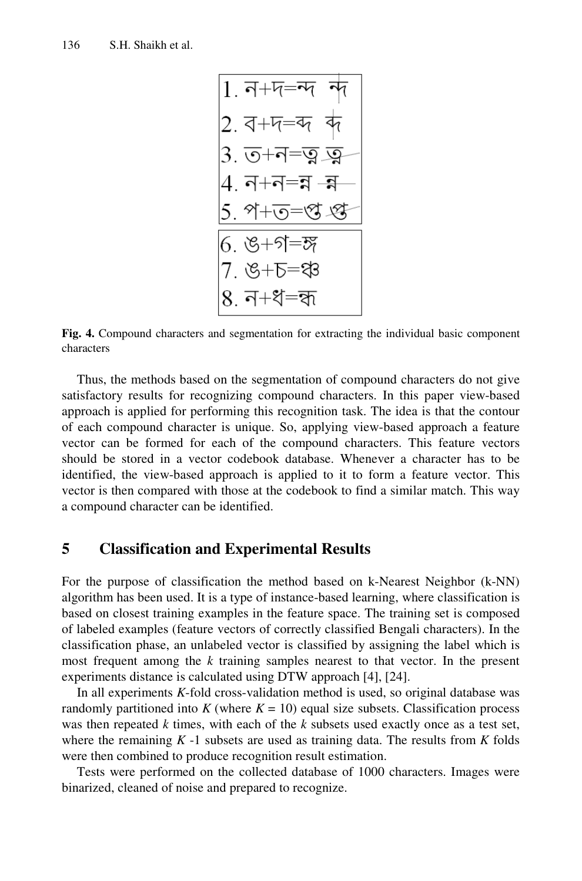$$
\begin{array}{|l|l|} \hline 1. \overline{\mathbf{q}} + \overline{\mathbf{r}} = \overline{\mathbf{r}} \overline{\mathbf{r}} \\ 2. \overline{\mathbf{q}} + \overline{\mathbf{r}} = \overline{\mathbf{r}} \overline{\mathbf{r}} \\ 3. \overline{\mathbf{v}} + \overline{\mathbf{r}} = \overline{\mathbf{r}} \overline{\mathbf{r}} \\ 4. \overline{\mathbf{r}} + \overline{\mathbf{r}} = \overline{\mathbf{r}} \overline{\mathbf{r}} \\ \hline 5. \overline{\mathbf{r}} + \overline{\mathbf{r}} = \overline{\mathbf{r}} \overline{\mathbf{r}} \\ \hline 6. \overline{\mathbf{r}} + \overline{\mathbf{r}} = \overline{\mathbf{r}} \overline{\mathbf{r}} \\ 7. \overline{\mathbf{r}} + \overline{\mathbf{r}} = \overline{\mathbf{r}} \overline{\mathbf{r}} \\ 8. \overline{\mathbf{r}} + \overline{\mathbf{r}} = \overline{\mathbf{r}} \end{array}
$$

**Fig. 4.** Compound characters and segmentation for extracting the individual basic component characters

Thus, the methods based on the segmentation of compound characters do not give satisfactory results for recognizing compound characters. In this paper view-based approach is applied for performing this recognition task. The idea is that the contour of each compound character is unique. So, applying view-based approach a feature vector can be formed for each of the compound characters. This feature vectors should be stored in a vector codebook database. Whenever a character has to be identified, the view-based approach is applied to it to form a feature vector. This vector is then compared with those at the codebook to find a similar match. This way a compound character can be identified.

### **5 Classification and Experimental Results**

For the purpose of classification the method based on k-Nearest Neighbor (k-NN) algorithm has been used. It is a type of instance-based learning, where classification is based on closest training examples in the feature space. The training set is composed of labeled examples (feature vectors of correctly classified Bengali characters). In the classification phase, an unlabeled vector is classified by assigning the label which is most frequent among the *k* training samples nearest to that vector. In the present experiments distance is calculated using DTW approach [4], [24].

In all experiments *K*-fold cross-validation method is used, so original database was randomly partitioned into  $K$  (where  $K = 10$ ) equal size subsets. Classification process was then repeated *k* times, with each of the *k* subsets used exactly once as a test set, where the remaining  $K - 1$  subsets are used as training data. The results from  $K$  folds were then combined to produce recognition result estimation.

Tests were performed on the collected database of 1000 characters. Images were binarized, cleaned of noise and prepared to recognize.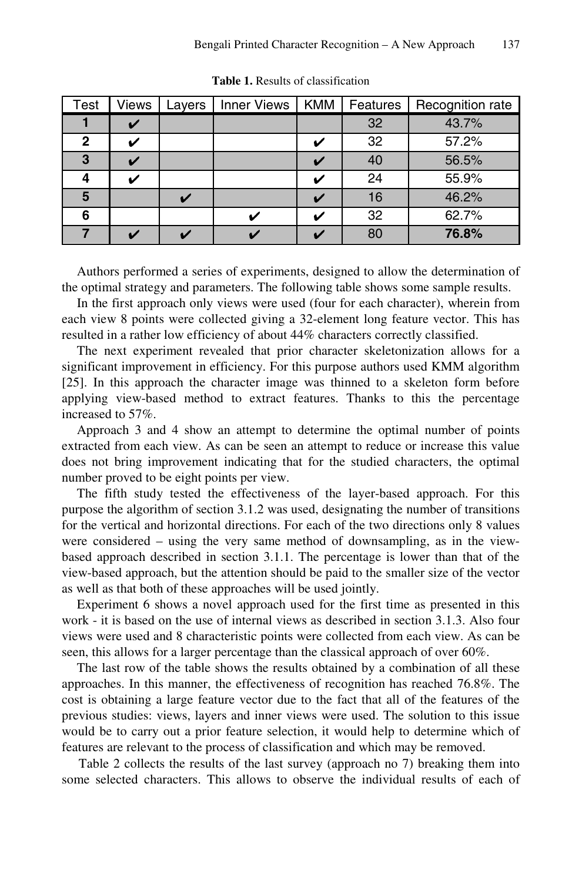| <b>Test</b>  | <b>Views</b> | Layers | <b>Inner Views</b> | <b>KMM</b> | Features | Recognition rate |
|--------------|--------------|--------|--------------------|------------|----------|------------------|
|              |              |        |                    |            | 32       | 43.7%            |
| $\mathbf{2}$ |              |        |                    |            | 32       | 57.2%            |
| 3            | ✓            |        |                    | V          | 40       | 56.5%            |
|              |              |        |                    | V          | 24       | 55.9%            |
| 5            |              | ✓      |                    |            | 16       | 46.2%            |
| 6            |              |        |                    | V          | 32       | 62.7%            |
|              |              |        |                    |            | 80       | 76.8%            |
|              |              |        |                    |            |          |                  |

**Table 1.** Results of classification

Authors performed a series of experiments, designed to allow the determination of the optimal strategy and parameters. The following table shows some sample results.

In the first approach only views were used (four for each character), wherein from each view 8 points were collected giving a 32-element long feature vector. This has resulted in a rather low efficiency of about 44% characters correctly classified.

The next experiment revealed that prior character skeletonization allows for a significant improvement in efficiency. For this purpose authors used KMM algorithm [25]. In this approach the character image was thinned to a skeleton form before applying view-based method to extract features. Thanks to this the percentage increased to 57%.

Approach 3 and 4 show an attempt to determine the optimal number of points extracted from each view. As can be seen an attempt to reduce or increase this value does not bring improvement indicating that for the studied characters, the optimal number proved to be eight points per view.

The fifth study tested the effectiveness of the layer-based approach. For this purpose the algorithm of section 3.1.2 was used, designating the number of transitions for the vertical and horizontal directions. For each of the two directions only 8 values were considered – using the very same method of downsampling, as in the viewbased approach described in section 3.1.1. The percentage is lower than that of the view-based approach, but the attention should be paid to the smaller size of the vector as well as that both of these approaches will be used jointly.

Experiment 6 shows a novel approach used for the first time as presented in this work - it is based on the use of internal views as described in section 3.1.3. Also four views were used and 8 characteristic points were collected from each view. As can be seen, this allows for a larger percentage than the classical approach of over 60%.

The last row of the table shows the results obtained by a combination of all these approaches. In this manner, the effectiveness of recognition has reached 76.8%. The cost is obtaining a large feature vector due to the fact that all of the features of the previous studies: views, layers and inner views were used. The solution to this issue would be to carry out a prior feature selection, it would help to determine which of features are relevant to the process of classification and which may be removed.

Table 2 collects the results of the last survey (approach no 7) breaking them into some selected characters. This allows to observe the individual results of each of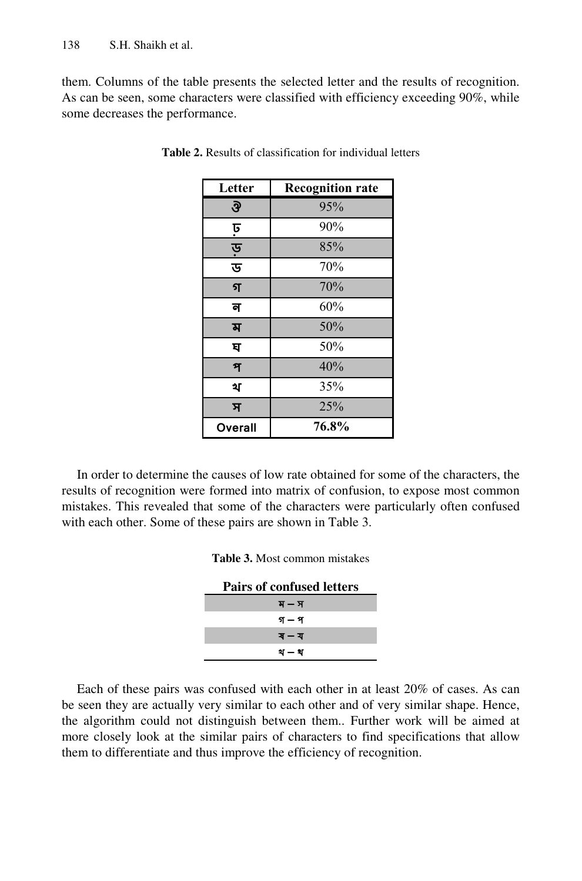them. Columns of the table presents the selected letter and the results of recognition. As can be seen, some characters were classified with efficiency exceeding 90%, while some decreases the performance.

| Letter    | <b>Recognition rate</b> |
|-----------|-------------------------|
| ම         | 95%                     |
| ঢ়        | 90%                     |
| <u>ড়</u> | 85%                     |
| ড         | 70%                     |
| গ         | 70%                     |
| ল         | 60%                     |
| ম         | 50%                     |
| ঘ         | 50%                     |
| প         | 40%                     |
| থ         | 35%                     |
| স         | 25%                     |
| Overall   | 76.8%                   |

**Table 2.** Results of classification for individual letters

In order to determine the causes of low rate obtained for some of the characters, the results of recognition were formed into matrix of confusion, to expose most common mistakes. This revealed that some of the characters were particularly often confused with each other. Some of these pairs are shown in Table 3.

| <b>Pairs of confused letters</b>                |
|-------------------------------------------------|
| $\overline{\mathbf{r}} - \overline{\mathbf{r}}$ |

**Table 3.** Most common mistakes

| <b>Pairs of confused letters</b> |  |  |  |  |
|----------------------------------|--|--|--|--|
| ম – স                            |  |  |  |  |
| গ – প                            |  |  |  |  |
| ষ – য                            |  |  |  |  |
| থ – থ                            |  |  |  |  |

Each of these pairs was confused with each other in at least 20% of cases. As can be seen they are actually very similar to each other and of very similar shape. Hence, the algorithm could not distinguish between them.. Further work will be aimed at more closely look at the similar pairs of characters to find specifications that allow them to differentiate and thus improve the efficiency of recognition.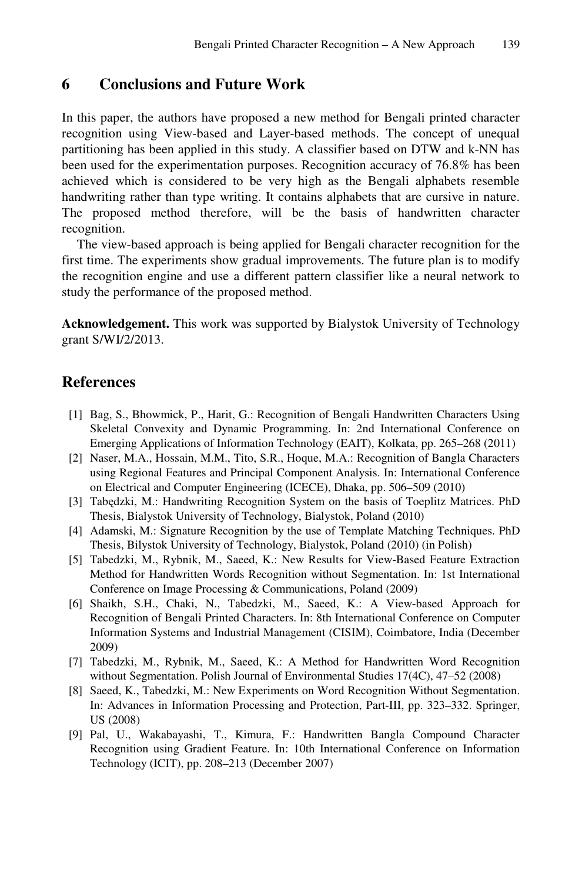### **6 Conclusions and Future Work**

In this paper, the authors have proposed a new method for Bengali printed character recognition using View-based and Layer-based methods. The concept of unequal partitioning has been applied in this study. A classifier based on DTW and k-NN has been used for the experimentation purposes. Recognition accuracy of 76.8% has been achieved which is considered to be very high as the Bengali alphabets resemble handwriting rather than type writing. It contains alphabets that are cursive in nature. The proposed method therefore, will be the basis of handwritten character recognition.

The view-based approach is being applied for Bengali character recognition for the first time. The experiments show gradual improvements. The future plan is to modify the recognition engine and use a different pattern classifier like a neural network to study the performance of the proposed method.

**Acknowledgement.** This work was supported by Bialystok University of Technology grant S/WI/2/2013.

### **References**

- [1] Bag, S., Bhowmick, P., Harit, G.: Recognition of Bengali Handwritten Characters Using Skeletal Convexity and Dynamic Programming. In: 2nd International Conference on Emerging Applications of Information Technology (EAIT), Kolkata, pp. 265–268 (2011)
- [2] Naser, M.A., Hossain, M.M., Tito, S.R., Hoque, M.A.: Recognition of Bangla Characters using Regional Features and Principal Component Analysis. In: International Conference on Electrical and Computer Engineering (ICECE), Dhaka, pp. 506–509 (2010)
- [3] Tabędzki, M.: Handwriting Recognition System on the basis of Toeplitz Matrices. PhD Thesis, Bialystok University of Technology, Bialystok, Poland (2010)
- [4] Adamski, M.: Signature Recognition by the use of Template Matching Techniques. PhD Thesis, Bilystok University of Technology, Bialystok, Poland (2010) (in Polish)
- [5] Tabedzki, M., Rybnik, M., Saeed, K.: New Results for View-Based Feature Extraction Method for Handwritten Words Recognition without Segmentation. In: 1st International Conference on Image Processing & Communications, Poland (2009)
- [6] Shaikh, S.H., Chaki, N., Tabedzki, M., Saeed, K.: A View-based Approach for Recognition of Bengali Printed Characters. In: 8th International Conference on Computer Information Systems and Industrial Management (CISIM), Coimbatore, India (December 2009)
- [7] Tabedzki, M., Rybnik, M., Saeed, K.: A Method for Handwritten Word Recognition without Segmentation. Polish Journal of Environmental Studies 17(4C), 47–52 (2008)
- [8] Saeed, K., Tabedzki, M.: New Experiments on Word Recognition Without Segmentation. In: Advances in Information Processing and Protection, Part-III, pp. 323–332. Springer, US (2008)
- [9] Pal, U., Wakabayashi, T., Kimura, F.: Handwritten Bangla Compound Character Recognition using Gradient Feature. In: 10th International Conference on Information Technology (ICIT), pp. 208–213 (December 2007)